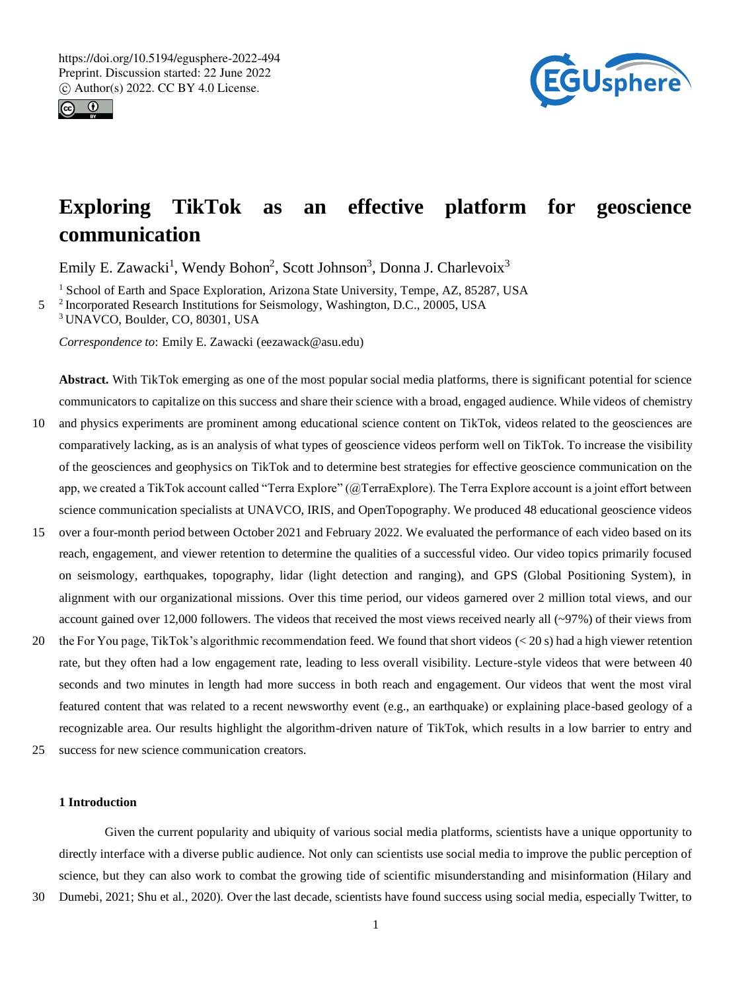



# **Exploring TikTok as an effective platform for geoscience communication**

Emily E. Zawacki<sup>1</sup>, Wendy Bohon<sup>2</sup>, Scott Johnson<sup>3</sup>, Donna J. Charlevoix<sup>3</sup>

<sup>1</sup> School of Earth and Space Exploration, Arizona State University, Tempe, AZ, 85287, USA

5<sup>2</sup> Incorporated Research Institutions for Seismology, Washington, D.C., 20005, USA <sup>3</sup> UNAVCO, Boulder, CO, 80301, USA

*Correspondence to*: Emily E. Zawacki (eezawack@asu.edu)

**Abstract.** With TikTok emerging as one of the most popular social media platforms, there is significant potential for science communicators to capitalize on this success and share their science with a broad, engaged audience. While videos of chemistry

- 10 and physics experiments are prominent among educational science content on TikTok, videos related to the geosciences are comparatively lacking, as is an analysis of what types of geoscience videos perform well on TikTok. To increase the visibility of the geosciences and geophysics on TikTok and to determine best strategies for effective geoscience communication on the app, we created a TikTok account called "Terra Explore" (@TerraExplore). The Terra Explore account is a joint effort between science communication specialists at UNAVCO, IRIS, and OpenTopography. We produced 48 educational geoscience videos
- 15 over a four-month period between October 2021 and February 2022. We evaluated the performance of each video based on its reach, engagement, and viewer retention to determine the qualities of a successful video. Our video topics primarily focused on seismology, earthquakes, topography, lidar (light detection and ranging), and GPS (Global Positioning System), in alignment with our organizational missions. Over this time period, our videos garnered over 2 million total views, and our account gained over 12,000 followers. The videos that received the most views received nearly all (~97%) of their views from
- 20 the For You page, TikTok's algorithmic recommendation feed. We found that short videos (< 20 s) had a high viewer retention rate, but they often had a low engagement rate, leading to less overall visibility. Lecture-style videos that were between 40 seconds and two minutes in length had more success in both reach and engagement. Our videos that went the most viral featured content that was related to a recent newsworthy event (e.g., an earthquake) or explaining place-based geology of a recognizable area. Our results highlight the algorithm-driven nature of TikTok, which results in a low barrier to entry and
- 25 success for new science communication creators.

# **1 Introduction**

Given the current popularity and ubiquity of various social media platforms, scientists have a unique opportunity to directly interface with a diverse public audience. Not only can scientists use social media to improve the public perception of science, but they can also work to combat the growing tide of scientific misunderstanding and misinformation (Hilary and

30 Dumebi, 2021; Shu et al., 2020). Over the last decade, scientists have found success using social media, especially Twitter, to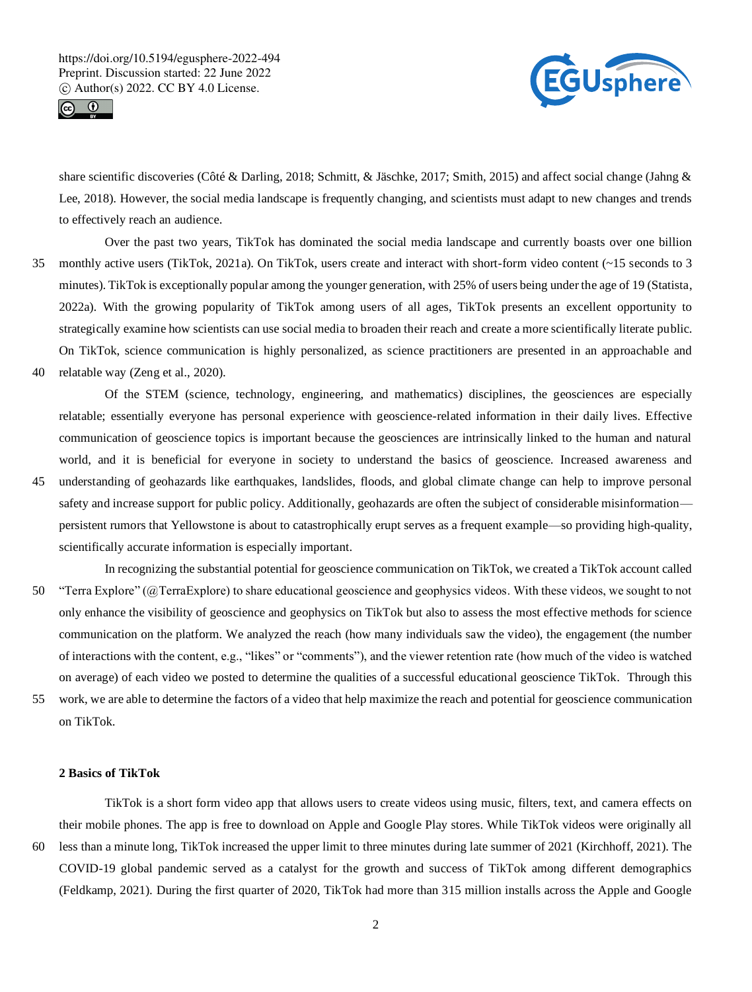



share scientific discoveries (Côté & Darling, 2018; Schmitt, & Jäschke, 2017; Smith, 2015) and affect social change (Jahng & Lee, 2018). However, the social media landscape is frequently changing, and scientists must adapt to new changes and trends to effectively reach an audience.

- Over the past two years, TikTok has dominated the social media landscape and currently boasts over one billion 35 monthly active users (TikTok, 2021a). On TikTok, users create and interact with short-form video content (~15 seconds to 3 minutes). TikTok is exceptionally popular among the younger generation, with 25% of users being under the age of 19 (Statista, 2022a). With the growing popularity of TikTok among users of all ages, TikTok presents an excellent opportunity to strategically examine how scientists can use social media to broaden their reach and create a more scientifically literate public. On TikTok, science communication is highly personalized, as science practitioners are presented in an approachable and
- 40 relatable way (Zeng et al., 2020).

Of the STEM (science, technology, engineering, and mathematics) disciplines, the geosciences are especially relatable; essentially everyone has personal experience with geoscience-related information in their daily lives. Effective communication of geoscience topics is important because the geosciences are intrinsically linked to the human and natural world, and it is beneficial for everyone in society to understand the basics of geoscience. Increased awareness and

- 45 understanding of geohazards like earthquakes, landslides, floods, and global climate change can help to improve personal safety and increase support for public policy. Additionally, geohazards are often the subject of considerable misinformation persistent rumors that Yellowstone is about to catastrophically erupt serves as a frequent example—so providing high-quality, scientifically accurate information is especially important.
- In recognizing the substantial potential for geoscience communication on TikTok, we created a TikTok account called 50 "Terra Explore" (@TerraExplore) to share educational geoscience and geophysics videos. With these videos, we sought to not only enhance the visibility of geoscience and geophysics on TikTok but also to assess the most effective methods for science communication on the platform. We analyzed the reach (how many individuals saw the video), the engagement (the number of interactions with the content, e.g., "likes" or "comments"), and the viewer retention rate (how much of the video is watched on average) of each video we posted to determine the qualities of a successful educational geoscience TikTok. Through this
- 55 work, we are able to determine the factors of a video that help maximize the reach and potential for geoscience communication on TikTok.

## **2 Basics of TikTok**

TikTok is a short form video app that allows users to create videos using music, filters, text, and camera effects on their mobile phones. The app is free to download on Apple and Google Play stores. While TikTok videos were originally all 60 less than a minute long, TikTok increased the upper limit to three minutes during late summer of 2021 (Kirchhoff, 2021). The COVID-19 global pandemic served as a catalyst for the growth and success of TikTok among different demographics (Feldkamp, 2021). During the first quarter of 2020, TikTok had more than 315 million installs across the Apple and Google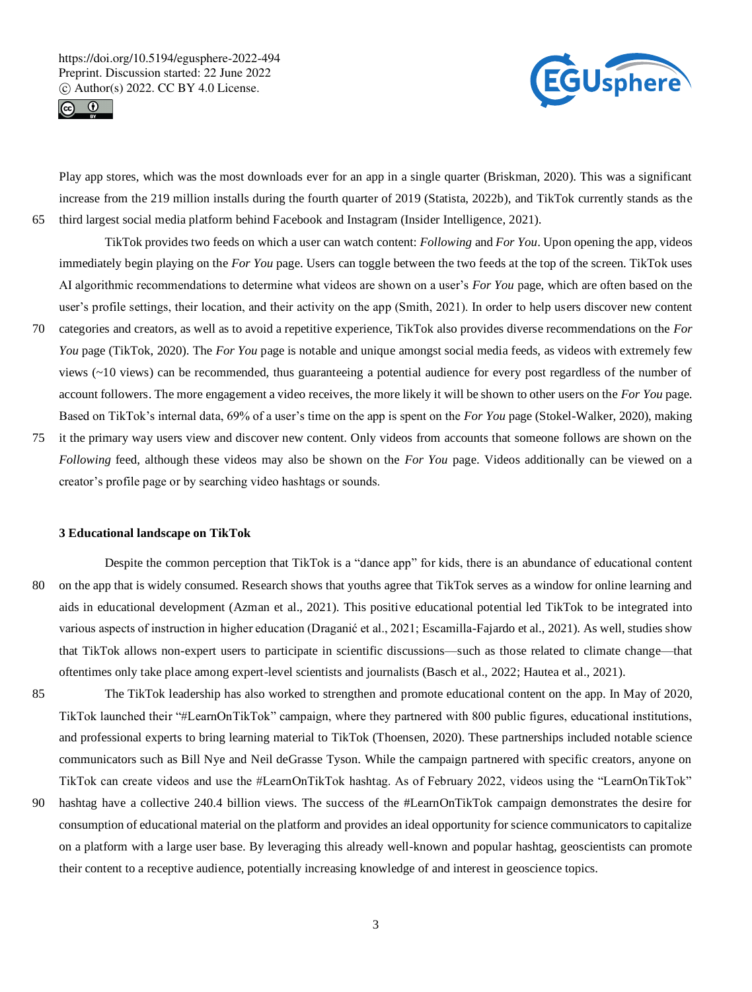



Play app stores, which was the most downloads ever for an app in a single quarter (Briskman, 2020). This was a significant increase from the 219 million installs during the fourth quarter of 2019 (Statista, 2022b), and TikTok currently stands as the 65 third largest social media platform behind Facebook and Instagram (Insider Intelligence, 2021).

TikTok provides two feeds on which a user can watch content: *Following* and *For You*. Upon opening the app, videos immediately begin playing on the *For You* page. Users can toggle between the two feeds at the top of the screen. TikTok uses AI algorithmic recommendations to determine what videos are shown on a user's *For You* page, which are often based on the user's profile settings, their location, and their activity on the app (Smith, 2021). In order to help users discover new content

- 70 categories and creators, as well as to avoid a repetitive experience, TikTok also provides diverse recommendations on the *For You* page (TikTok, 2020). The *For You* page is notable and unique amongst social media feeds, as videos with extremely few views  $(\sim 10$  views) can be recommended, thus guaranteeing a potential audience for every post regardless of the number of account followers. The more engagement a video receives, the more likely it will be shown to other users on the *For You* page. Based on TikTok's internal data, 69% of a user's time on the app is spent on the *For You* page (Stokel-Walker, 2020), making
- 75 it the primary way users view and discover new content. Only videos from accounts that someone follows are shown on the *Following* feed, although these videos may also be shown on the *For You* page. Videos additionally can be viewed on a creator's profile page or by searching video hashtags or sounds.

#### **3 Educational landscape on TikTok**

- Despite the common perception that TikTok is a "dance app" for kids, there is an abundance of educational content 80 on the app that is widely consumed. Research shows that youths agree that TikTok serves as a window for online learning and aids in educational development (Azman et al., 2021). This positive educational potential led TikTok to be integrated into various aspects of instruction in higher education (Draganić et al., 2021; Escamilla-Fajardo et al., 2021). As well, studies show that TikTok allows non-expert users to participate in scientific discussions—such as those related to climate change—that oftentimes only take place among expert-level scientists and journalists (Basch et al., 2022; Hautea et al., 2021).
- 85 The TikTok leadership has also worked to strengthen and promote educational content on the app. In May of 2020, TikTok launched their "#LearnOnTikTok" campaign, where they partnered with 800 public figures, educational institutions, and professional experts to bring learning material to TikTok (Thoensen, 2020). These partnerships included notable science communicators such as Bill Nye and Neil deGrasse Tyson. While the campaign partnered with specific creators, anyone on TikTok can create videos and use the #LearnOnTikTok hashtag. As of February 2022, videos using the "LearnOnTikTok"
- 90 hashtag have a collective 240.4 billion views. The success of the #LearnOnTikTok campaign demonstrates the desire for consumption of educational material on the platform and provides an ideal opportunity for science communicators to capitalize on a platform with a large user base. By leveraging this already well-known and popular hashtag, geoscientists can promote their content to a receptive audience, potentially increasing knowledge of and interest in geoscience topics.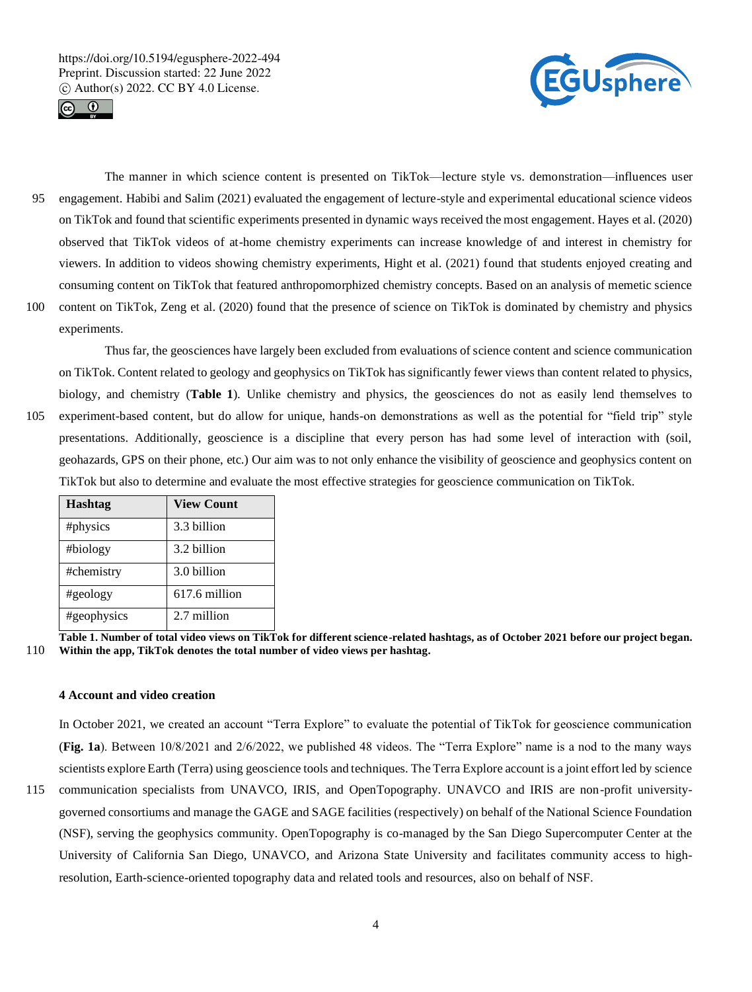



The manner in which science content is presented on TikTok—lecture style vs. demonstration—influences user 95 engagement. Habibi and Salim (2021) evaluated the engagement of lecture-style and experimental educational science videos on TikTok and found that scientific experiments presented in dynamic ways received the most engagement. Hayes et al. (2020) observed that TikTok videos of at-home chemistry experiments can increase knowledge of and interest in chemistry for viewers. In addition to videos showing chemistry experiments, Hight et al. (2021) found that students enjoyed creating and consuming content on TikTok that featured anthropomorphized chemistry concepts. Based on an analysis of memetic science 100 content on TikTok, Zeng et al. (2020) found that the presence of science on TikTok is dominated by chemistry and physics

experiments.

Thus far, the geosciences have largely been excluded from evaluations of science content and science communication on TikTok. Content related to geology and geophysics on TikTok has significantly fewer views than content related to physics, biology, and chemistry (**Table 1**). Unlike chemistry and physics, the geosciences do not as easily lend themselves to 105 experiment-based content, but do allow for unique, hands-on demonstrations as well as the potential for "field trip" style presentations. Additionally, geoscience is a discipline that every person has had some level of interaction with (soil, geohazards, GPS on their phone, etc.) Our aim was to not only enhance the visibility of geoscience and geophysics content on TikTok but also to determine and evaluate the most effective strategies for geoscience communication on TikTok.

| <b>Hashtag</b> | <b>View Count</b> |
|----------------|-------------------|
| #physics       | 3.3 billion       |
| #biology       | 3.2 billion       |
| #chemistry     | 3.0 billion       |
| #geology       | 617.6 million     |
| #geophysics    | 2.7 million       |

**Table 1. Number of total video views on TikTok for different science-related hashtags, as of October 2021 before our project began.**  110 **Within the app, TikTok denotes the total number of video views per hashtag.**

# **4 Account and video creation**

In October 2021, we created an account "Terra Explore" to evaluate the potential of TikTok for geoscience communication (**Fig. 1a**). Between 10/8/2021 and 2/6/2022, we published 48 videos. The "Terra Explore" name is a nod to the many ways scientists explore Earth (Terra) using geoscience tools and techniques. The Terra Explore account is a joint effort led by science

115 communication specialists from UNAVCO, IRIS, and OpenTopography. UNAVCO and IRIS are non-profit universitygoverned consortiums and manage the GAGE and SAGE facilities (respectively) on behalf of the National Science Foundation (NSF), serving the geophysics community. OpenTopography is co-managed by the San Diego Supercomputer Center at the University of California San Diego, UNAVCO, and Arizona State University and facilitates community access to highresolution, Earth-science-oriented topography data and related tools and resources, also on behalf of NSF.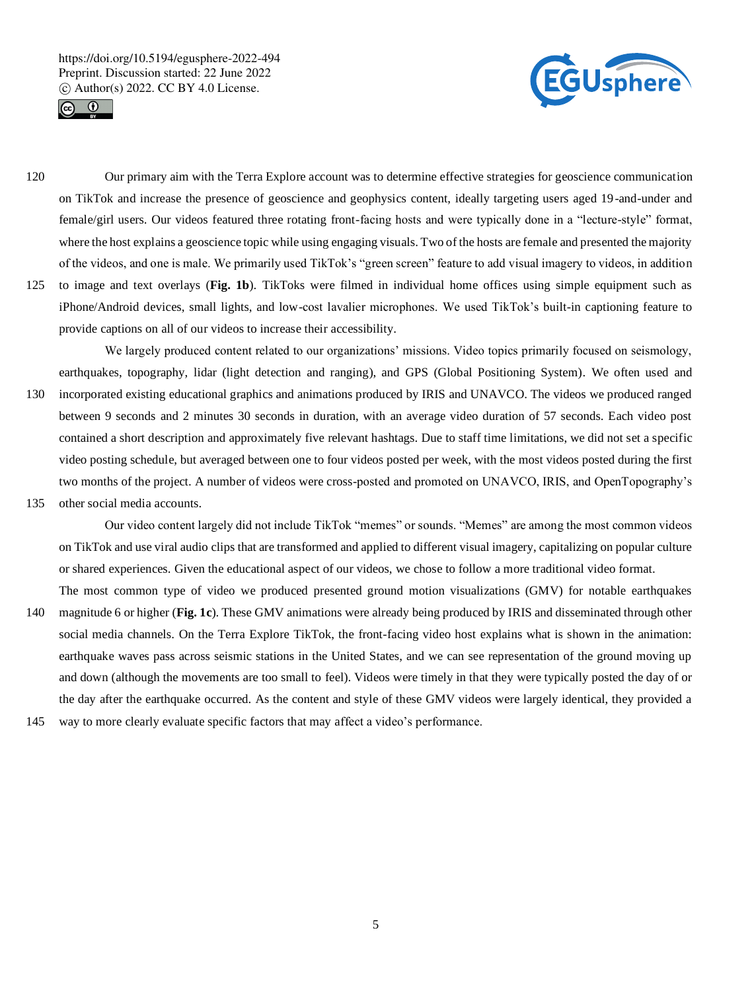



- 120 Our primary aim with the Terra Explore account was to determine effective strategies for geoscience communication on TikTok and increase the presence of geoscience and geophysics content, ideally targeting users aged 19-and-under and female/girl users. Our videos featured three rotating front-facing hosts and were typically done in a "lecture-style" format, where the host explains a geoscience topic while using engaging visuals. Two of the hosts are female and presented the majority of the videos, and one is male. We primarily used TikTok's "green screen" feature to add visual imagery to videos, in addition
- 125 to image and text overlays (**Fig. 1b**). TikToks were filmed in individual home offices using simple equipment such as iPhone/Android devices, small lights, and low-cost lavalier microphones. We used TikTok's built-in captioning feature to provide captions on all of our videos to increase their accessibility.

We largely produced content related to our organizations' missions. Video topics primarily focused on seismology, earthquakes, topography, lidar (light detection and ranging), and GPS (Global Positioning System). We often used and 130 incorporated existing educational graphics and animations produced by IRIS and UNAVCO. The videos we produced ranged between 9 seconds and 2 minutes 30 seconds in duration, with an average video duration of 57 seconds. Each video post contained a short description and approximately five relevant hashtags. Due to staff time limitations, we did not set a specific video posting schedule, but averaged between one to four videos posted per week, with the most videos posted during the first two months of the project. A number of videos were cross-posted and promoted on UNAVCO, IRIS, and OpenTopography's 135 other social media accounts.

- Our video content largely did not include TikTok "memes" or sounds. "Memes" are among the most common videos on TikTok and use viral audio clips that are transformed and applied to different visual imagery, capitalizing on popular culture or shared experiences. Given the educational aspect of our videos, we chose to follow a more traditional video format.
- The most common type of video we produced presented ground motion visualizations (GMV) for notable earthquakes 140 magnitude 6 or higher (**Fig. 1c**). These GMV animations were already being produced by IRIS and disseminated through other social media channels. On the Terra Explore TikTok, the front-facing video host explains what is shown in the animation: earthquake waves pass across seismic stations in the United States, and we can see representation of the ground moving up and down (although the movements are too small to feel). Videos were timely in that they were typically posted the day of or the day after the earthquake occurred. As the content and style of these GMV videos were largely identical, they provided a
- 145 way to more clearly evaluate specific factors that may affect a video's performance.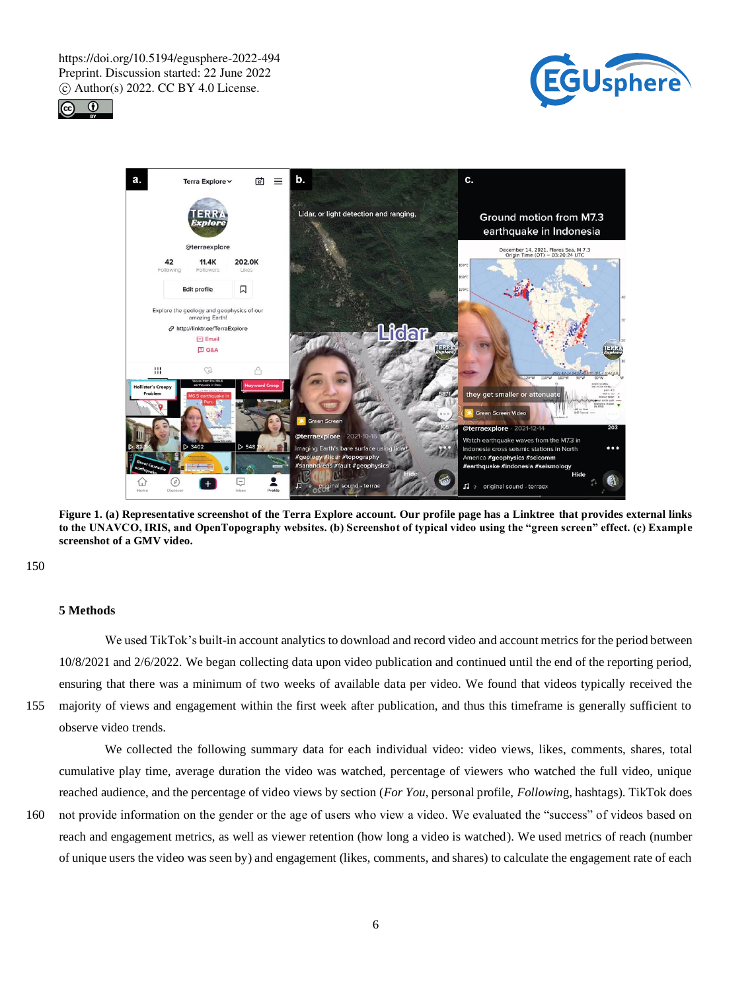





**Figure 1. (a) Representative screenshot of the Terra Explore account. Our profile page has a Linktree that provides external links to the UNAVCO, IRIS, and OpenTopography websites. (b) Screenshot of typical video using the "green screen" effect. (c) Example screenshot of a GMV video.**

150

## **5 Methods**

We used TikTok's built-in account analytics to download and record video and account metrics for the period between 10/8/2021 and 2/6/2022. We began collecting data upon video publication and continued until the end of the reporting period, ensuring that there was a minimum of two weeks of available data per video. We found that videos typically received the 155 majority of views and engagement within the first week after publication, and thus this timeframe is generally sufficient to

observe video trends.

We collected the following summary data for each individual video: video views, likes, comments, shares, total cumulative play time, average duration the video was watched, percentage of viewers who watched the full video, unique reached audience, and the percentage of video views by section (*For You*, personal profile, *Followin*g, hashtags). TikTok does

160 not provide information on the gender or the age of users who view a video. We evaluated the "success" of videos based on reach and engagement metrics, as well as viewer retention (how long a video is watched). We used metrics of reach (number of unique users the video was seen by) and engagement (likes, comments, and shares) to calculate the engagement rate of each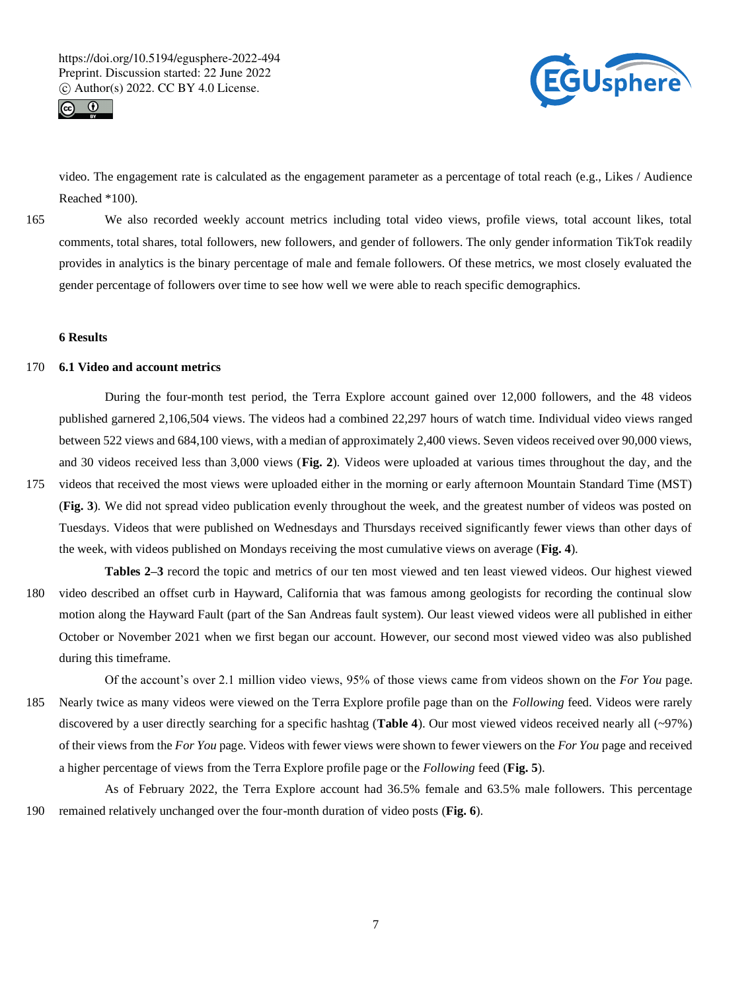



video. The engagement rate is calculated as the engagement parameter as a percentage of total reach (e.g., Likes / Audience Reached \*100).

165 We also recorded weekly account metrics including total video views, profile views, total account likes, total comments, total shares, total followers, new followers, and gender of followers. The only gender information TikTok readily provides in analytics is the binary percentage of male and female followers. Of these metrics, we most closely evaluated the gender percentage of followers over time to see how well we were able to reach specific demographics.

## **6 Results**

## 170 **6.1 Video and account metrics**

During the four-month test period, the Terra Explore account gained over 12,000 followers, and the 48 videos published garnered 2,106,504 views. The videos had a combined 22,297 hours of watch time. Individual video views ranged between 522 views and 684,100 views, with a median of approximately 2,400 views. Seven videos received over 90,000 views, and 30 videos received less than 3,000 views (**Fig. 2**). Videos were uploaded at various times throughout the day, and the

175 videos that received the most views were uploaded either in the morning or early afternoon Mountain Standard Time (MST) (**Fig. 3**). We did not spread video publication evenly throughout the week, and the greatest number of videos was posted on Tuesdays. Videos that were published on Wednesdays and Thursdays received significantly fewer views than other days of the week, with videos published on Mondays receiving the most cumulative views on average (**Fig. 4**).

**Tables 2–3** record the topic and metrics of our ten most viewed and ten least viewed videos. Our highest viewed 180 video described an offset curb in Hayward, California that was famous among geologists for recording the continual slow motion along the Hayward Fault (part of the San Andreas fault system). Our least viewed videos were all published in either October or November 2021 when we first began our account. However, our second most viewed video was also published during this timeframe.

Of the account's over 2.1 million video views, 95% of those views came from videos shown on the *For You* page. 185 Nearly twice as many videos were viewed on the Terra Explore profile page than on the *Following* feed. Videos were rarely discovered by a user directly searching for a specific hashtag (**Table 4**). Our most viewed videos received nearly all (~97%) of their views from the *For You* page. Videos with fewer views were shown to fewer viewers on the *For You* page and received a higher percentage of views from the Terra Explore profile page or the *Following* feed (**Fig. 5**).

As of February 2022, the Terra Explore account had 36.5% female and 63.5% male followers. This percentage 190 remained relatively unchanged over the four-month duration of video posts (**Fig. 6**).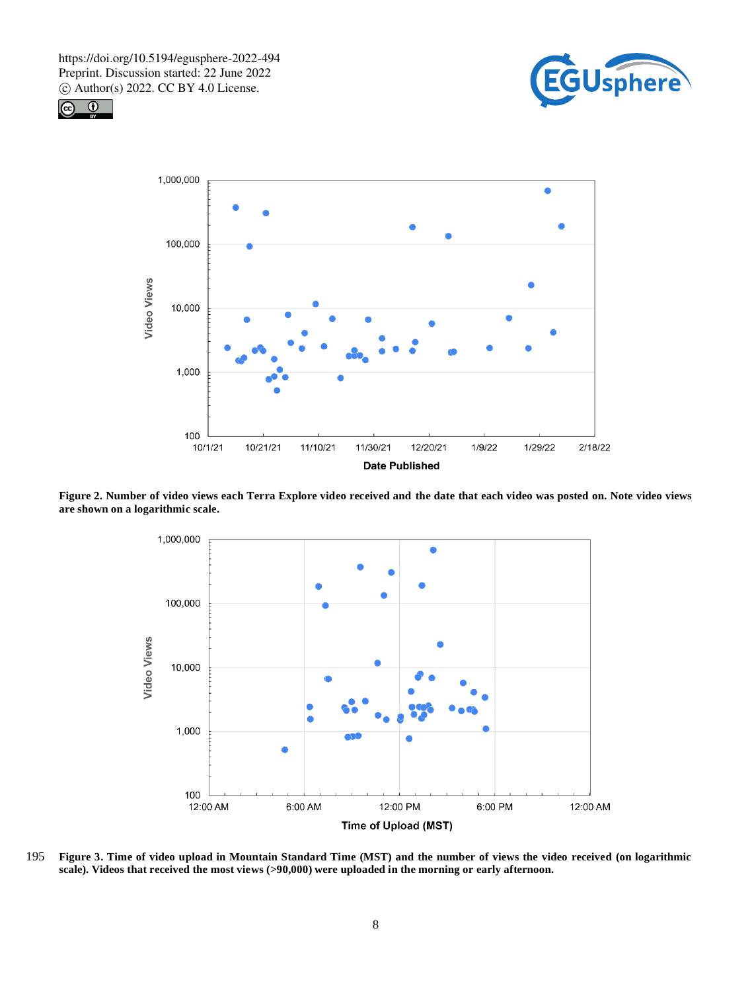





**Figure 2. Number of video views each Terra Explore video received and the date that each video was posted on. Note video views are shown on a logarithmic scale.**



195 **Figure 3. Time of video upload in Mountain Standard Time (MST) and the number of views the video received (on logarithmic scale). Videos that received the most views (>90,000) were uploaded in the morning or early afternoon.**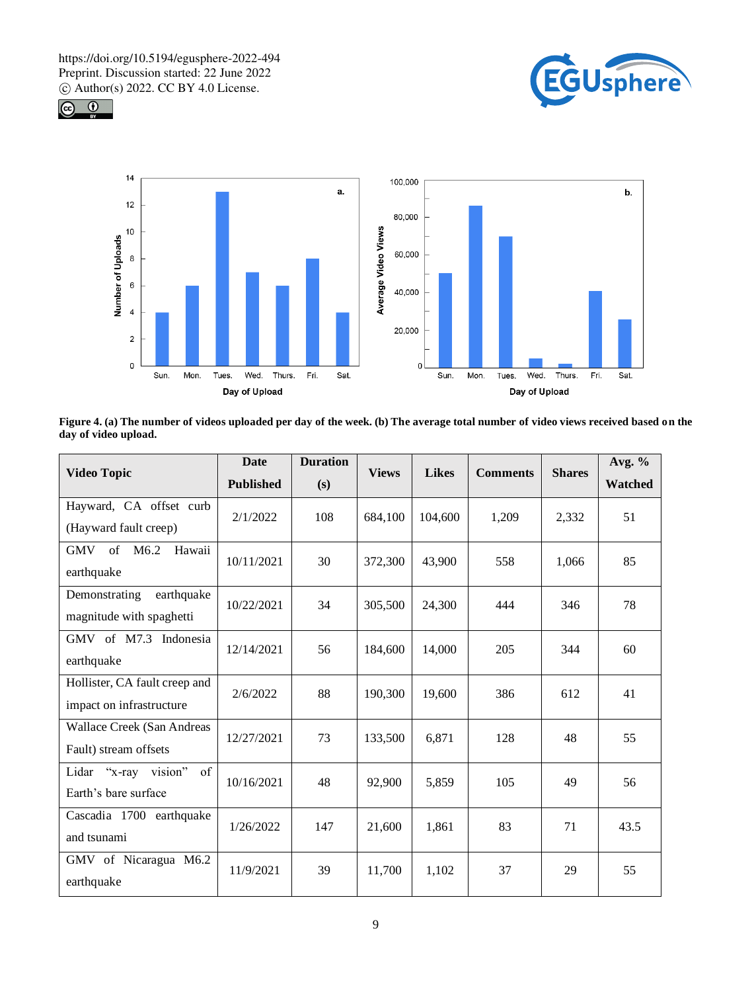





**Figure 4. (a) The number of videos uploaded per day of the week. (b) The average total number of video views received based on the day of video upload.**

| <b>Video Topic</b>                                        | <b>Date</b><br><b>Published</b> | <b>Duration</b><br>(s) | <b>Views</b> | <b>Likes</b> | <b>Comments</b> | <b>Shares</b> | Avg. $%$<br>Watched |
|-----------------------------------------------------------|---------------------------------|------------------------|--------------|--------------|-----------------|---------------|---------------------|
| Hayward, CA offset curb<br>(Hayward fault creep)          | 2/1/2022                        | 108                    | 684,100      | 104,600      | 1,209           | 2,332         | 51                  |
| of<br>Hawaii<br>M6.2<br><b>GMV</b><br>earthquake          | 10/11/2021                      | 30                     | 372,300      | 43,900       | 558             | 1,066         | 85                  |
| earthquake<br>Demonstrating<br>magnitude with spaghetti   | 10/22/2021                      | 34                     | 305,500      | 24,300       | 444             | 346           | 78                  |
| GMV of M7.3 Indonesia<br>earthquake                       | 12/14/2021                      | 56                     | 184,600      | 14,000       | 205             | 344           | 60                  |
| Hollister, CA fault creep and<br>impact on infrastructure | 2/6/2022                        | 88                     | 190,300      | 19,600       | 386             | 612           | 41                  |
| Wallace Creek (San Andreas<br>Fault) stream offsets       | 12/27/2021                      | 73                     | 133,500      | 6,871        | 128             | 48            | 55                  |
| vision"<br>of<br>Lidar "x-ray<br>Earth's bare surface     | 10/16/2021                      | 48                     | 92,900       | 5,859        | 105             | 49            | 56                  |
| Cascadia 1700 earthquake<br>and tsunami                   | 1/26/2022                       | 147                    | 21,600       | 1,861        | 83              | 71            | 43.5                |
| GMV of Nicaragua M6.2<br>earthquake                       | 11/9/2021                       | 39                     | 11,700       | 1,102        | 37              | 29            | 55                  |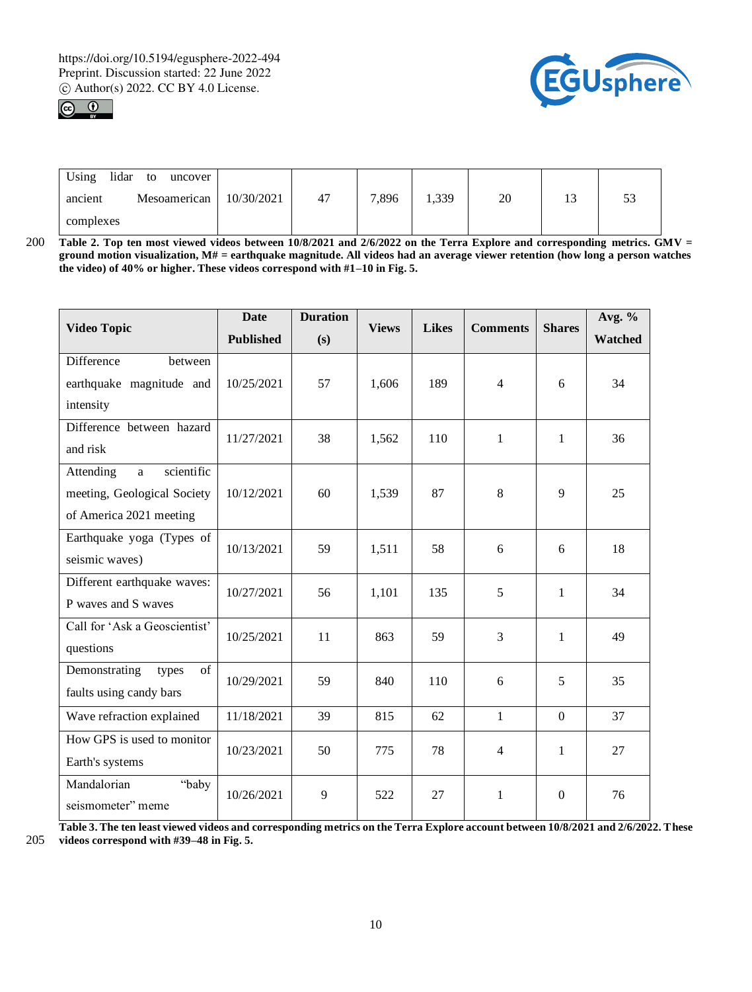



| Using<br>lidar<br>uncover<br>to |            |    |       |       |    |                |   |
|---------------------------------|------------|----|-------|-------|----|----------------|---|
| Mesoamerican<br>ancient         | 10/30/2021 | 47 | 7,896 | 1,339 | 20 | 1 <sub>2</sub> | ັ |
| complexes                       |            |    |       |       |    |                |   |

200 **Table 2. Top ten most viewed videos between 10/8/2021 and 2/6/2022 on the Terra Explore and corresponding metrics. GMV = ground motion visualization, M# = earthquake magnitude. All videos had an average viewer retention (how long a person watches the video) of 40% or higher. These videos correspond with #1–10 in Fig. 5.**

| <b>Video Topic</b>            | <b>Date</b>      | <b>Duration</b> | <b>Views</b> | <b>Likes</b> | <b>Comments</b> | <b>Shares</b>    | Avg. %  |
|-------------------------------|------------------|-----------------|--------------|--------------|-----------------|------------------|---------|
|                               | <b>Published</b> | (s)             |              |              |                 |                  | Watched |
| Difference<br>between         |                  |                 |              |              |                 |                  |         |
| earthquake magnitude and      | 10/25/2021       | 57              | 1,606        | 189          | $\overline{4}$  | 6                | 34      |
| intensity                     |                  |                 |              |              |                 |                  |         |
| Difference between hazard     | 11/27/2021       | 38              | 1,562        | 110          | $\mathbf{1}$    | $\mathbf{1}$     | 36      |
| and risk                      |                  |                 |              |              |                 |                  |         |
| scientific<br>Attending<br>a  |                  |                 |              |              |                 |                  |         |
| meeting, Geological Society   | 10/12/2021       | 60              | 1,539        | 87           | 8               | 9                | 25      |
| of America 2021 meeting       |                  |                 |              |              |                 |                  |         |
| Earthquake yoga (Types of     | 10/13/2021       | 59              | 1,511        | 58           | 6               | 6                | 18      |
| seismic waves)                |                  |                 |              |              |                 |                  |         |
| Different earthquake waves:   | 10/27/2021       | 56              | 1,101        | 135          | 5               | $\mathbf{1}$     | 34      |
| P waves and S waves           |                  |                 |              |              |                 |                  |         |
| Call for 'Ask a Geoscientist' | 10/25/2021       | 11              | 863          | 59           | 3               | $\mathbf{1}$     | 49      |
| questions                     |                  |                 |              |              |                 |                  |         |
| of<br>Demonstrating<br>types  | 10/29/2021       | 59              | 840          | 110          | 6               | 5                | 35      |
| faults using candy bars       |                  |                 |              |              |                 |                  |         |
| Wave refraction explained     | 11/18/2021       | 39              | 815          | 62           | $\mathbf{1}$    | $\mathbf{0}$     | 37      |
| How GPS is used to monitor    | 10/23/2021       | 50              | 775          | 78           | $\overline{4}$  | 1                | 27      |
| Earth's systems               |                  |                 |              |              |                 |                  |         |
| "baby<br>Mandalorian          | 10/26/2021       | 9               | 522          | 27           | $\mathbf{1}$    | $\boldsymbol{0}$ | 76      |
| seismometer" meme             |                  |                 |              |              |                 |                  |         |

**Table 3. The ten least viewed videos and corresponding metrics on the Terra Explore account between 10/8/2021 and 2/6/2022. These**  205 **videos correspond with #39–48 in Fig. 5.**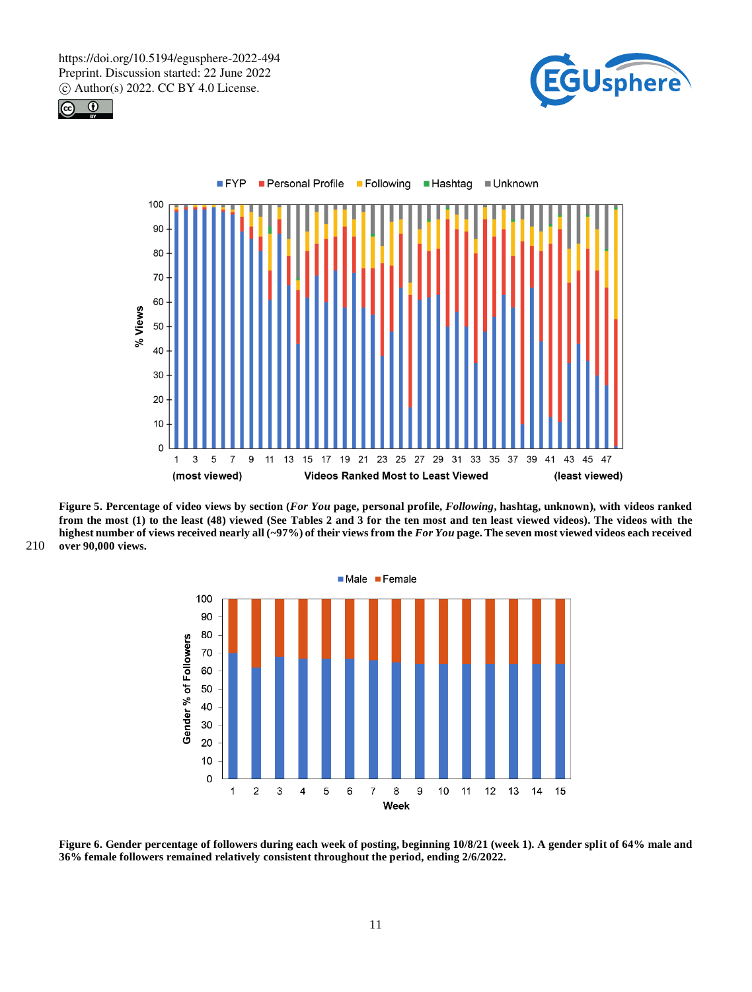





**Figure 5. Percentage of video views by section (***For You* **page, personal profile,** *Following***, hashtag, unknown), with videos ranked from the most (1) to the least (48) viewed (See Tables 2 and 3 for the ten most and ten least viewed videos). The videos with the highest number of views received nearly all (~97%) of their views from the** *For You* **page. The seven most viewed videos each received**  210 **over 90,000 views.**



**Figure 6. Gender percentage of followers during each week of posting, beginning 10/8/21 (week 1). A gender split of 64% male and 36% female followers remained relatively consistent throughout the period, ending 2/6/2022.**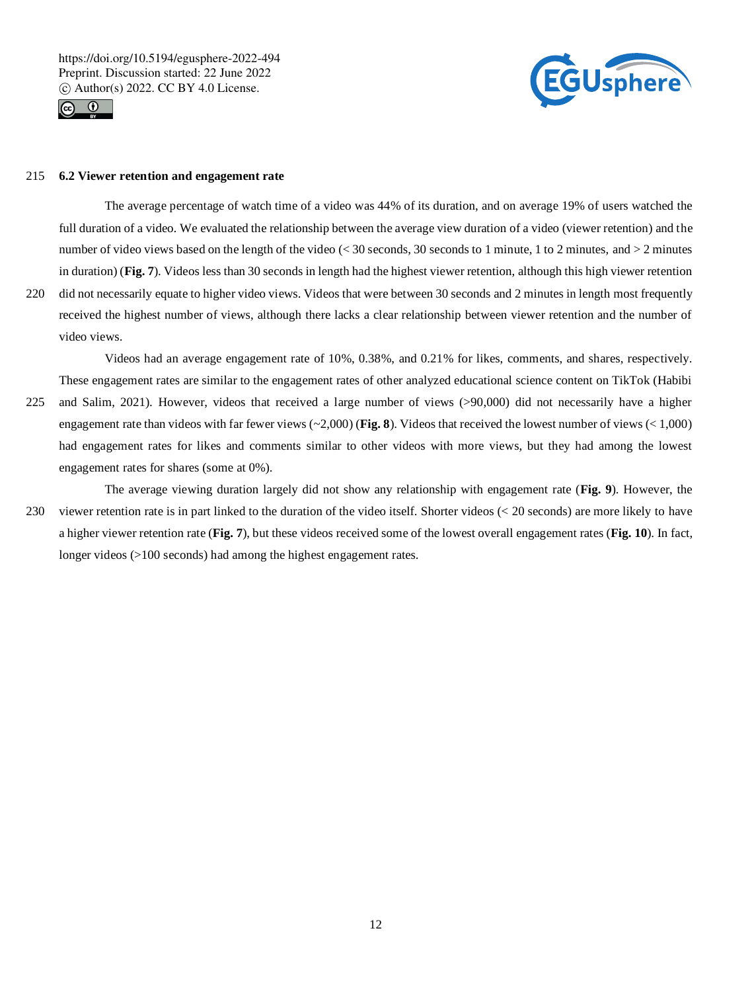



## 215 **6.2 Viewer retention and engagement rate**

The average percentage of watch time of a video was 44% of its duration, and on average 19% of users watched the full duration of a video. We evaluated the relationship between the average view duration of a video (viewer retention) and the number of video views based on the length of the video ( $< 30$  seconds, 30 seconds to 1 minute, 1 to 2 minutes, and  $> 2$  minutes in duration) (**Fig. 7**). Videos less than 30 seconds in length had the highest viewer retention, although this high viewer retention 220 did not necessarily equate to higher video views. Videos that were between 30 seconds and 2 minutes in length most frequently

received the highest number of views, although there lacks a clear relationship between viewer retention and the number of video views.

Videos had an average engagement rate of 10%, 0.38%, and 0.21% for likes, comments, and shares, respectively. These engagement rates are similar to the engagement rates of other analyzed educational science content on TikTok (Habibi 225 and Salim, 2021). However, videos that received a large number of views (>90,000) did not necessarily have a higher engagement rate than videos with far fewer views (~2,000) (**Fig. 8**). Videos that received the lowest number of views (< 1,000) had engagement rates for likes and comments similar to other videos with more views, but they had among the lowest engagement rates for shares (some at 0%).

The average viewing duration largely did not show any relationship with engagement rate (**Fig. 9**). However, the 230 viewer retention rate is in part linked to the duration of the video itself. Shorter videos (< 20 seconds) are more likely to have a higher viewer retention rate (**Fig. 7**), but these videos received some of the lowest overall engagement rates (**Fig. 10**). In fact, longer videos (>100 seconds) had among the highest engagement rates.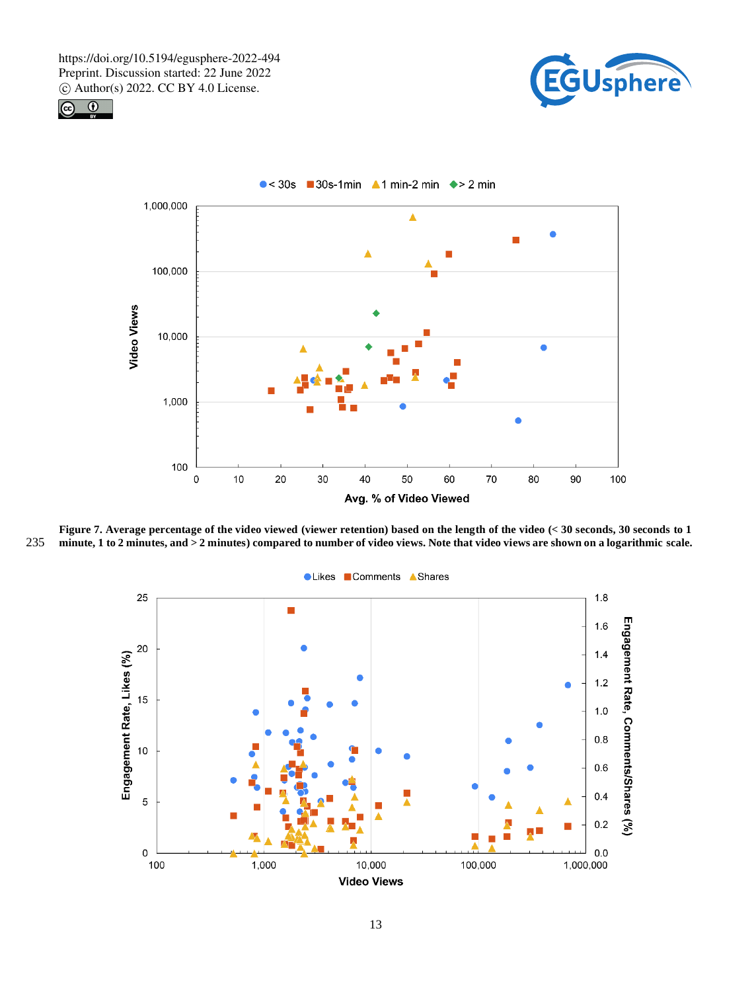





**Figure 7. Average percentage of the video viewed (viewer retention) based on the length of the video (< 30 seconds, 30 seconds to 1**  235 **minute, 1 to 2 minutes, and > 2 minutes) compared to number of video views. Note that video views are shown on a logarithmic scale.** 



● Likes ■ Comments ▲ Shares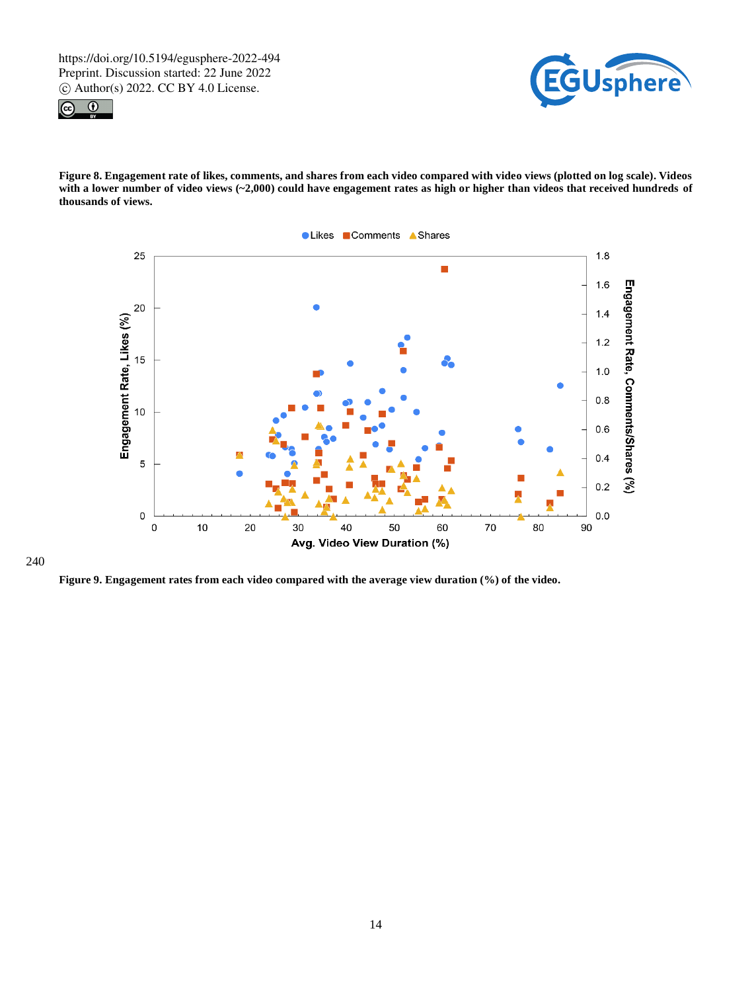



**Figure 8. Engagement rate of likes, comments, and shares from each video compared with video views (plotted on log scale). Videos**  with a lower number of video views (~2,000) could have engagement rates as high or higher than videos that received hundreds of **thousands of views.**



240

**Figure 9. Engagement rates from each video compared with the average view duration (%) of the video.**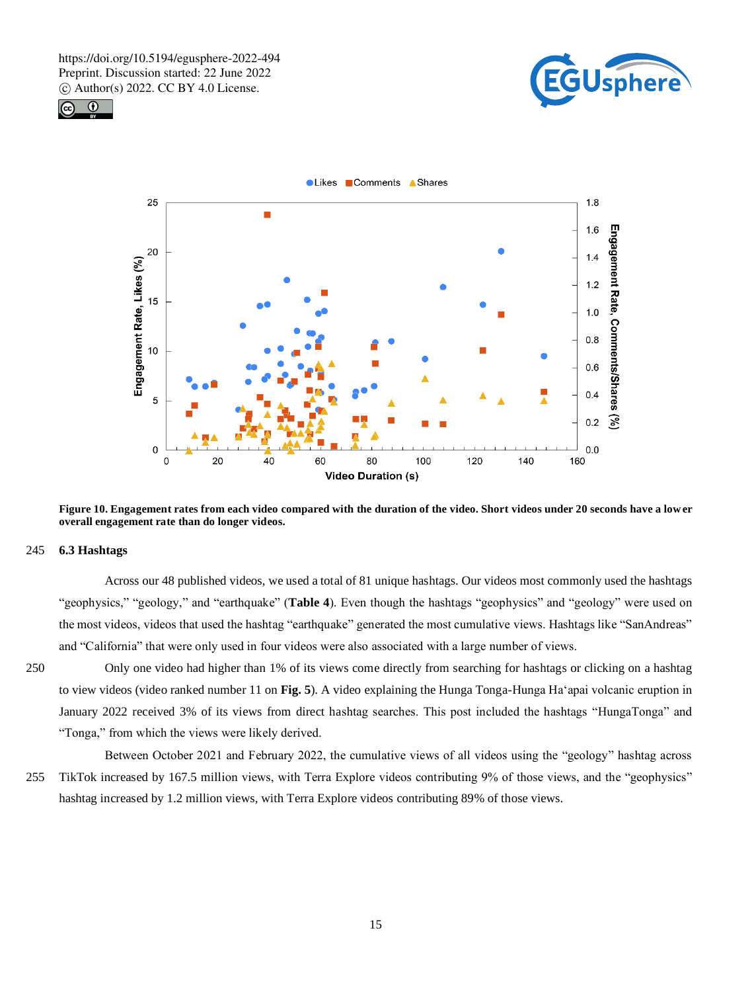





**Figure 10. Engagement rates from each video compared with the duration of the video. Short videos under 20 seconds have a lower overall engagement rate than do longer videos.**

## 245 **6.3 Hashtags**

Across our 48 published videos, we used a total of 81 unique hashtags. Our videos most commonly used the hashtags "geophysics," "geology," and "earthquake" (**Table 4**). Even though the hashtags "geophysics" and "geology" were used on the most videos, videos that used the hashtag "earthquake" generated the most cumulative views. Hashtags like "SanAndreas" and "California" that were only used in four videos were also associated with a large number of views.

250 Only one video had higher than 1% of its views come directly from searching for hashtags or clicking on a hashtag to view videos (video ranked number 11 on **Fig. 5**). A video explaining the Hunga Tonga-Hunga Ha'apai volcanic eruption in January 2022 received 3% of its views from direct hashtag searches. This post included the hashtags "HungaTonga" and "Tonga," from which the views were likely derived.

Between October 2021 and February 2022, the cumulative views of all videos using the "geology" hashtag across 255 TikTok increased by 167.5 million views, with Terra Explore videos contributing 9% of those views, and the "geophysics" hashtag increased by 1.2 million views, with Terra Explore videos contributing 89% of those views.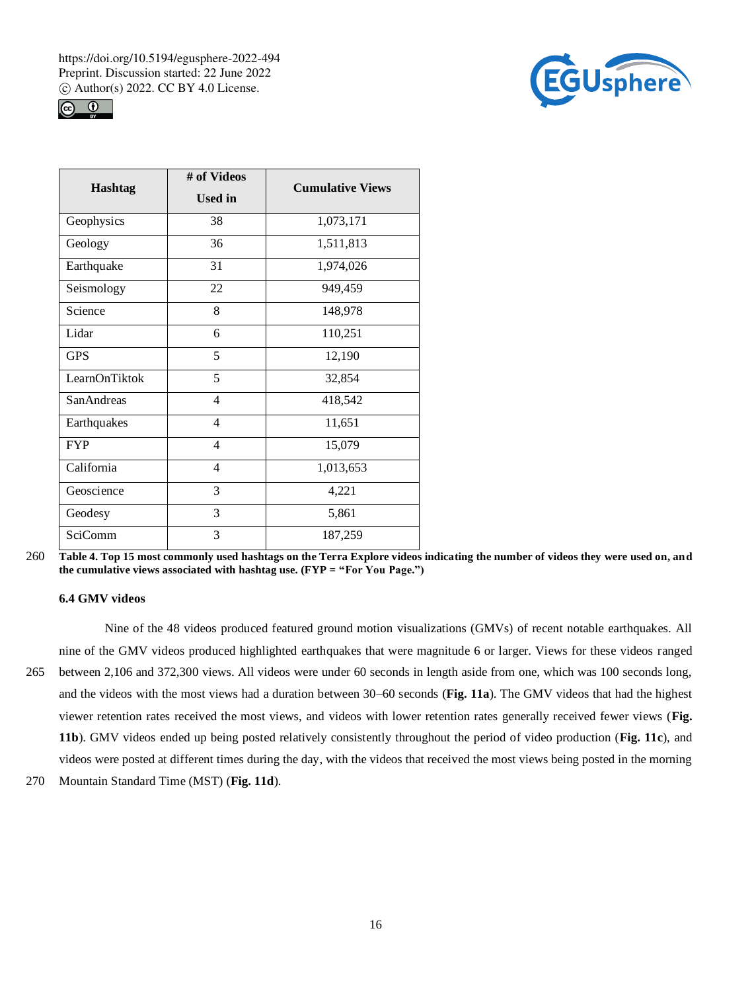



| <b>Hashtag</b>     | # of Videos<br><b>Used in</b> | <b>Cumulative Views</b> |
|--------------------|-------------------------------|-------------------------|
| Geophysics         | 38                            | 1,073,171               |
| Geology            | 36                            | 1,511,813               |
| Earthquake         | 31                            | 1,974,026               |
| Seismology         | 22                            | 949,459                 |
| Science            | 8                             | 148,978                 |
| Lidar              | 6                             | 110,251                 |
| <b>GPS</b>         | 5                             | 12,190                  |
| LearnOnTiktok      | 5                             | 32,854                  |
| <b>San Andreas</b> | $\overline{4}$                | 418,542                 |
| Earthquakes        | $\overline{4}$                | 11,651                  |
| <b>FYP</b>         | $\overline{4}$                | 15,079                  |
| California         | $\overline{4}$                | 1,013,653               |
| Geoscience         | 3                             | 4,221                   |
| Geodesy            | 3                             | 5,861                   |
| <b>SciComm</b>     | 3                             | 187,259                 |

## **6.4 GMV videos**

Nine of the 48 videos produced featured ground motion visualizations (GMVs) of recent notable earthquakes. All nine of the GMV videos produced highlighted earthquakes that were magnitude 6 or larger. Views for these videos ranged 265 between 2,106 and 372,300 views. All videos were under 60 seconds in length aside from one, which was 100 seconds long, and the videos with the most views had a duration between 30–60 seconds (**Fig. 11a**). The GMV videos that had the highest viewer retention rates received the most views, and videos with lower retention rates generally received fewer views (**Fig. 11b**). GMV videos ended up being posted relatively consistently throughout the period of video production (**Fig. 11c**), and videos were posted at different times during the day, with the videos that received the most views being posted in the morning

270 Mountain Standard Time (MST) (**Fig. 11d**).

<sup>260</sup> **Table 4. Top 15 most commonly used hashtags on the Terra Explore videos indicating the number of videos they were used on, and the cumulative views associated with hashtag use. (FYP = "For You Page.")**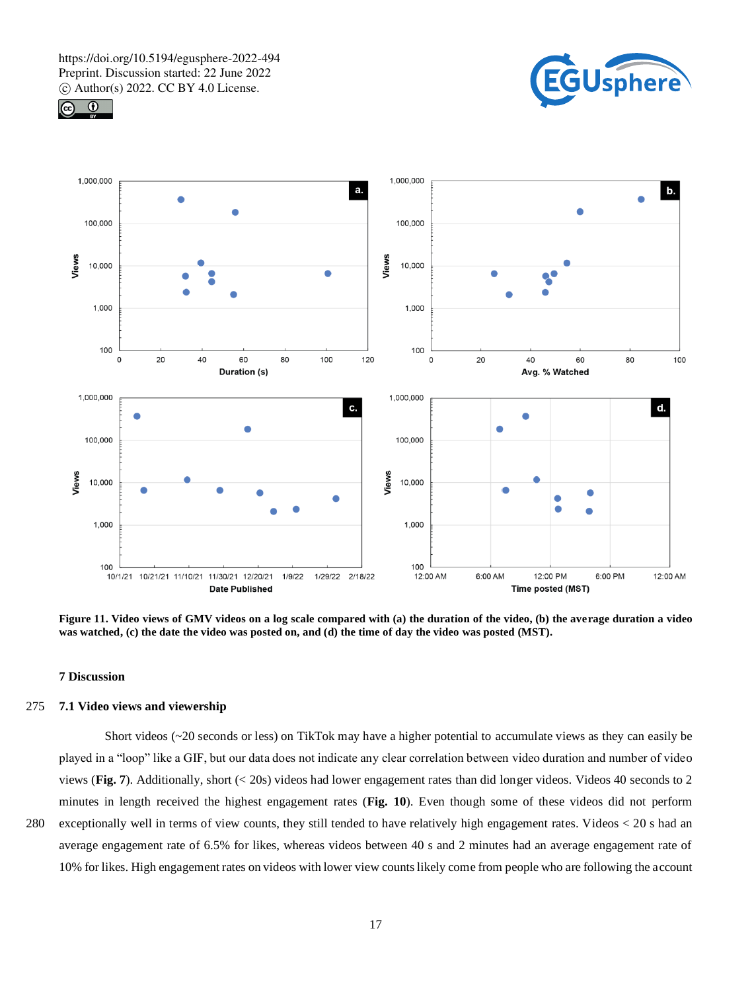





**Figure 11. Video views of GMV videos on a log scale compared with (a) the duration of the video, (b) the average duration a video was watched, (c) the date the video was posted on, and (d) the time of day the video was posted (MST).**

#### **7 Discussion**

## 275 **7.1 Video views and viewership**

Short videos (~20 seconds or less) on TikTok may have a higher potential to accumulate views as they can easily be played in a "loop" like a GIF, but our data does not indicate any clear correlation between video duration and number of video views (**Fig. 7**). Additionally, short (< 20s) videos had lower engagement rates than did longer videos. Videos 40 seconds to 2 minutes in length received the highest engagement rates (**Fig. 10**). Even though some of these videos did not perform 280 exceptionally well in terms of view counts, they still tended to have relatively high engagement rates. Videos < 20 s had an average engagement rate of 6.5% for likes, whereas videos between 40 s and 2 minutes had an average engagement rate of

10% for likes. High engagement rates on videos with lower view counts likely come from people who are following the account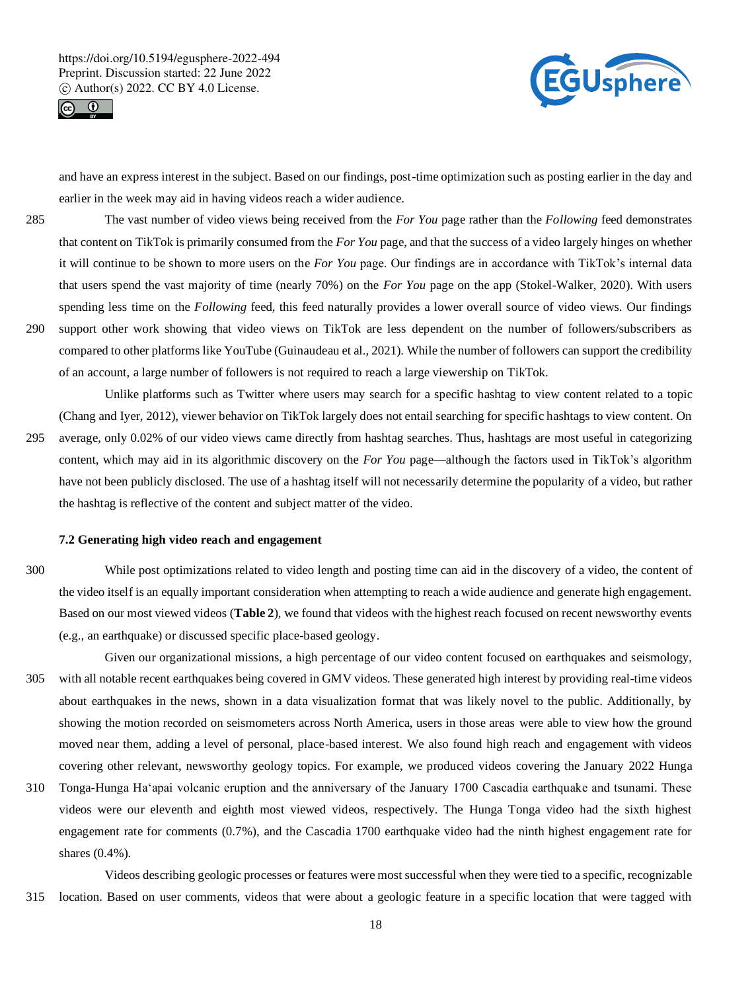



and have an express interest in the subject. Based on our findings, post-time optimization such as posting earlier in the day and earlier in the week may aid in having videos reach a wider audience.

285 The vast number of video views being received from the *For You* page rather than the *Following* feed demonstrates that content on TikTok is primarily consumed from the *For You* page, and that the success of a video largely hinges on whether it will continue to be shown to more users on the *For You* page. Our findings are in accordance with TikTok's internal data that users spend the vast majority of time (nearly 70%) on the *For You* page on the app (Stokel-Walker, 2020). With users spending less time on the *Following* feed, this feed naturally provides a lower overall source of video views. Our findings 290 support other work showing that video views on TikTok are less dependent on the number of followers/subscribers as compared to other platforms like YouTube (Guinaudeau et al., 2021). While the number of followers can support the credibility of an account, a large number of followers is not required to reach a large viewership on TikTok.

Unlike platforms such as Twitter where users may search for a specific hashtag to view content related to a topic (Chang and Iyer, 2012), viewer behavior on TikTok largely does not entail searching for specific hashtags to view content. On

295 average, only 0.02% of our video views came directly from hashtag searches. Thus, hashtags are most useful in categorizing content, which may aid in its algorithmic discovery on the *For You* page—although the factors used in TikTok's algorithm have not been publicly disclosed. The use of a hashtag itself will not necessarily determine the popularity of a video, but rather the hashtag is reflective of the content and subject matter of the video.

#### **7.2 Generating high video reach and engagement**

300 While post optimizations related to video length and posting time can aid in the discovery of a video, the content of the video itself is an equally important consideration when attempting to reach a wide audience and generate high engagement. Based on our most viewed videos (**Table 2**), we found that videos with the highest reach focused on recent newsworthy events (e.g., an earthquake) or discussed specific place-based geology.

- Given our organizational missions, a high percentage of our video content focused on earthquakes and seismology, 305 with all notable recent earthquakes being covered in GMV videos. These generated high interest by providing real-time videos about earthquakes in the news, shown in a data visualization format that was likely novel to the public. Additionally, by showing the motion recorded on seismometers across North America, users in those areas were able to view how the ground moved near them, adding a level of personal, place-based interest. We also found high reach and engagement with videos covering other relevant, newsworthy geology topics. For example, we produced videos covering the January 2022 Hunga
- 310 Tonga-Hunga Ha'apai volcanic eruption and the anniversary of the January 1700 Cascadia earthquake and tsunami. These videos were our eleventh and eighth most viewed videos, respectively. The Hunga Tonga video had the sixth highest engagement rate for comments (0.7%), and the Cascadia 1700 earthquake video had the ninth highest engagement rate for shares (0.4%).

Videos describing geologic processes or features were most successful when they were tied to a specific, recognizable 315 location. Based on user comments, videos that were about a geologic feature in a specific location that were tagged with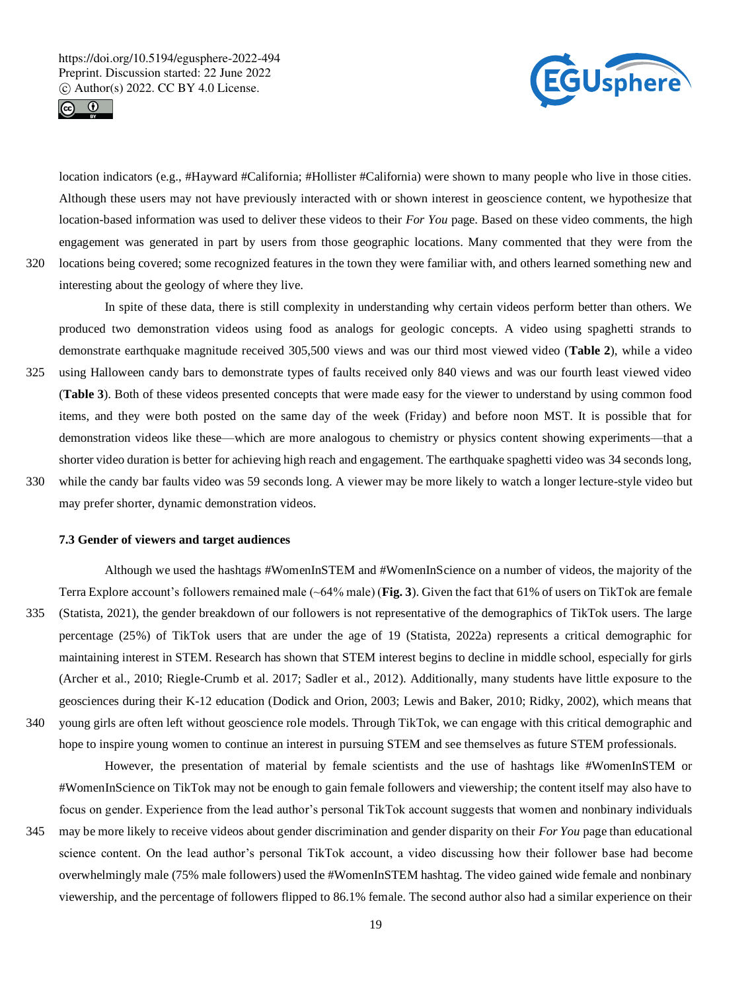interesting about the geology of where they live.





location indicators (e.g., #Hayward #California; #Hollister #California) were shown to many people who live in those cities. Although these users may not have previously interacted with or shown interest in geoscience content, we hypothesize that location-based information was used to deliver these videos to their *For You* page. Based on these video comments, the high engagement was generated in part by users from those geographic locations. Many commented that they were from the 320 locations being covered; some recognized features in the town they were familiar with, and others learned something new and

In spite of these data, there is still complexity in understanding why certain videos perform better than others. We produced two demonstration videos using food as analogs for geologic concepts. A video using spaghetti strands to demonstrate earthquake magnitude received 305,500 views and was our third most viewed video (**Table 2**), while a video 325 using Halloween candy bars to demonstrate types of faults received only 840 views and was our fourth least viewed video (**Table 3**). Both of these videos presented concepts that were made easy for the viewer to understand by using common food items, and they were both posted on the same day of the week (Friday) and before noon MST. It is possible that for demonstration videos like these—which are more analogous to chemistry or physics content showing experiments—that a shorter video duration is better for achieving high reach and engagement. The earthquake spaghetti video was 34 seconds long, 330 while the candy bar faults video was 59 seconds long. A viewer may be more likely to watch a longer lecture-style video but

may prefer shorter, dynamic demonstration videos.

#### **7.3 Gender of viewers and target audiences**

Although we used the hashtags #WomenInSTEM and #WomenInScience on a number of videos, the majority of the Terra Explore account's followers remained male (~64% male) (**Fig. 3**). Given the fact that 61% of users on TikTok are female 335 (Statista, 2021), the gender breakdown of our followers is not representative of the demographics of TikTok users. The large

- percentage (25%) of TikTok users that are under the age of 19 (Statista, 2022a) represents a critical demographic for maintaining interest in STEM. Research has shown that STEM interest begins to decline in middle school, especially for girls (Archer et al., 2010; Riegle-Crumb et al. 2017; Sadler et al., 2012). Additionally, many students have little exposure to the geosciences during their K-12 education (Dodick and Orion, 2003; Lewis and Baker, 2010; Ridky, 2002), which means that 340 young girls are often left without geoscience role models. Through TikTok, we can engage with this critical demographic and
- hope to inspire young women to continue an interest in pursuing STEM and see themselves as future STEM professionals. However, the presentation of material by female scientists and the use of hashtags like #WomenInSTEM or

#WomenInScience on TikTok may not be enough to gain female followers and viewership; the content itself may also have to focus on gender. Experience from the lead author's personal TikTok account suggests that women and nonbinary individuals

345 may be more likely to receive videos about gender discrimination and gender disparity on their *For You* page than educational science content. On the lead author's personal TikTok account, a video discussing how their follower base had become overwhelmingly male (75% male followers) used the #WomenInSTEM hashtag. The video gained wide female and nonbinary viewership, and the percentage of followers flipped to 86.1% female. The second author also had a similar experience on their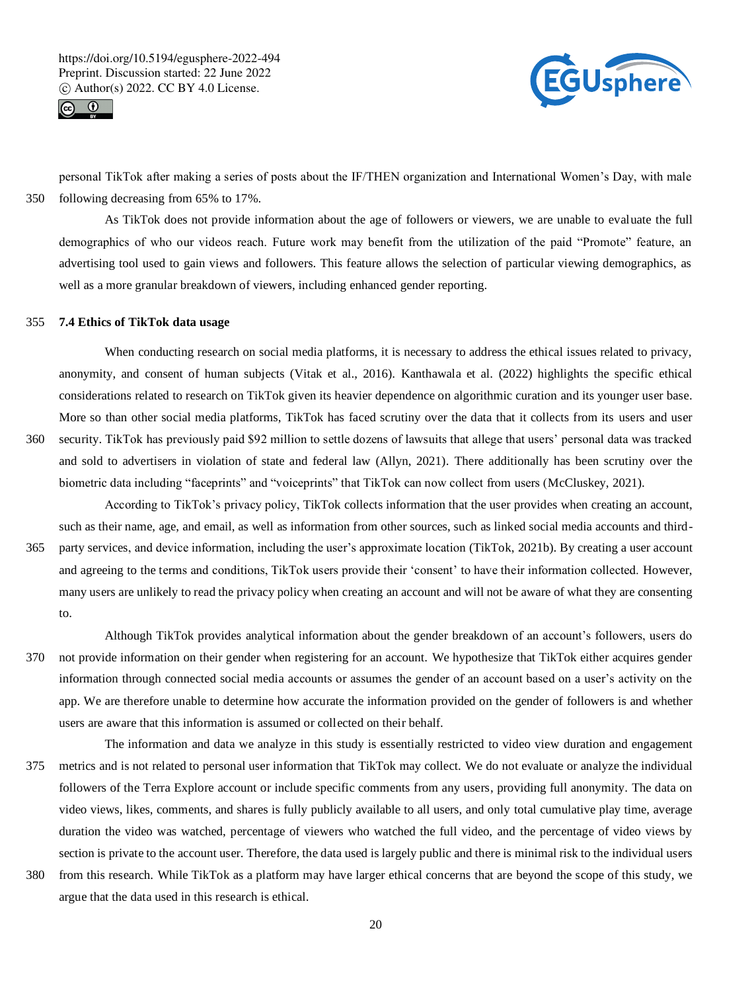



personal TikTok after making a series of posts about the IF/THEN organization and International Women's Day, with male 350 following decreasing from 65% to 17%.

As TikTok does not provide information about the age of followers or viewers, we are unable to evaluate the full demographics of who our videos reach. Future work may benefit from the utilization of the paid "Promote" feature, an advertising tool used to gain views and followers. This feature allows the selection of particular viewing demographics, as well as a more granular breakdown of viewers, including enhanced gender reporting.

#### 355 **7.4 Ethics of TikTok data usage**

When conducting research on social media platforms, it is necessary to address the ethical issues related to privacy, anonymity, and consent of human subjects (Vitak et al., 2016). Kanthawala et al. (2022) highlights the specific ethical considerations related to research on TikTok given its heavier dependence on algorithmic curation and its younger user base. More so than other social media platforms, TikTok has faced scrutiny over the data that it collects from its users and user 360 security. TikTok has previously paid \$92 million to settle dozens of lawsuits that allege that users' personal data was tracked and sold to advertisers in violation of state and federal law (Allyn, 2021). There additionally has been scrutiny over the

biometric data including "faceprints" and "voiceprints" that TikTok can now collect from users (McCluskey, 2021).

According to TikTok's privacy policy, TikTok collects information that the user provides when creating an account, such as their name, age, and email, as well as information from other sources, such as linked social media accounts and third-365 party services, and device information, including the user's approximate location (TikTok, 2021b). By creating a user account

and agreeing to the terms and conditions, TikTok users provide their 'consent' to have their information collected. However, many users are unlikely to read the privacy policy when creating an account and will not be aware of what they are consenting to.

Although TikTok provides analytical information about the gender breakdown of an account's followers, users do 370 not provide information on their gender when registering for an account. We hypothesize that TikTok either acquires gender information through connected social media accounts or assumes the gender of an account based on a user's activity on the app. We are therefore unable to determine how accurate the information provided on the gender of followers is and whether users are aware that this information is assumed or collected on their behalf.

The information and data we analyze in this study is essentially restricted to video view duration and engagement 375 metrics and is not related to personal user information that TikTok may collect. We do not evaluate or analyze the individual followers of the Terra Explore account or include specific comments from any users, providing full anonymity. The data on video views, likes, comments, and shares is fully publicly available to all users, and only total cumulative play time, average duration the video was watched, percentage of viewers who watched the full video, and the percentage of video views by section is private to the account user. Therefore, the data used is largely public and there is minimal risk to the individual users

380 from this research. While TikTok as a platform may have larger ethical concerns that are beyond the scope of this study, we argue that the data used in this research is ethical.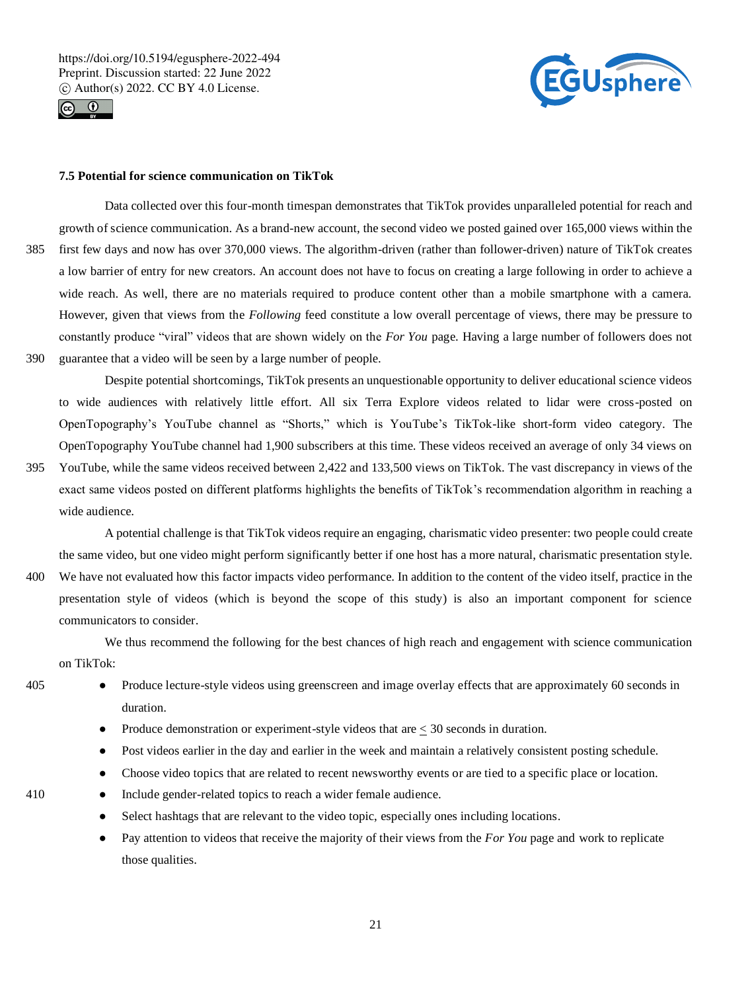



## **7.5 Potential for science communication on TikTok**

Data collected over this four-month timespan demonstrates that TikTok provides unparalleled potential for reach and growth of science communication. As a brand-new account, the second video we posted gained over 165,000 views within the 385 first few days and now has over 370,000 views. The algorithm-driven (rather than follower-driven) nature of TikTok creates a low barrier of entry for new creators. An account does not have to focus on creating a large following in order to achieve a wide reach. As well, there are no materials required to produce content other than a mobile smartphone with a camera. However, given that views from the *Following* feed constitute a low overall percentage of views, there may be pressure to constantly produce "viral" videos that are shown widely on the *For You* page. Having a large number of followers does not 390 guarantee that a video will be seen by a large number of people.

Despite potential shortcomings, TikTok presents an unquestionable opportunity to deliver educational science videos to wide audiences with relatively little effort. All six Terra Explore videos related to lidar were cross-posted on OpenTopography's YouTube channel as "Shorts," which is YouTube's TikTok-like short-form video category. The OpenTopography YouTube channel had 1,900 subscribers at this time. These videos received an average of only 34 views on

395 YouTube, while the same videos received between 2,422 and 133,500 views on TikTok. The vast discrepancy in views of the exact same videos posted on different platforms highlights the benefits of TikTok's recommendation algorithm in reaching a wide audience.

A potential challenge is that TikTok videos require an engaging, charismatic video presenter: two people could create the same video, but one video might perform significantly better if one host has a more natural, charismatic presentation style. 400 We have not evaluated how this factor impacts video performance. In addition to the content of the video itself, practice in the presentation style of videos (which is beyond the scope of this study) is also an important component for science

We thus recommend the following for the best chances of high reach and engagement with science communication on TikTok:

communicators to consider.

- 405 Produce lecture-style videos using greenscreen and image overlay effects that are approximately 60 seconds in duration.
	- Produce demonstration or experiment-style videos that are  $\leq$  30 seconds in duration.
	- Post videos earlier in the day and earlier in the week and maintain a relatively consistent posting schedule.
	- Choose video topics that are related to recent news worthy events or are tied to a specific place or location.
- 
- 410 Include gender-related topics to reach a wider female audience.
	- Select hashtags that are relevant to the video topic, especially ones including locations.
	- Pay attention to videos that receive the majority of their views from the *For You* page and work to replicate those qualities.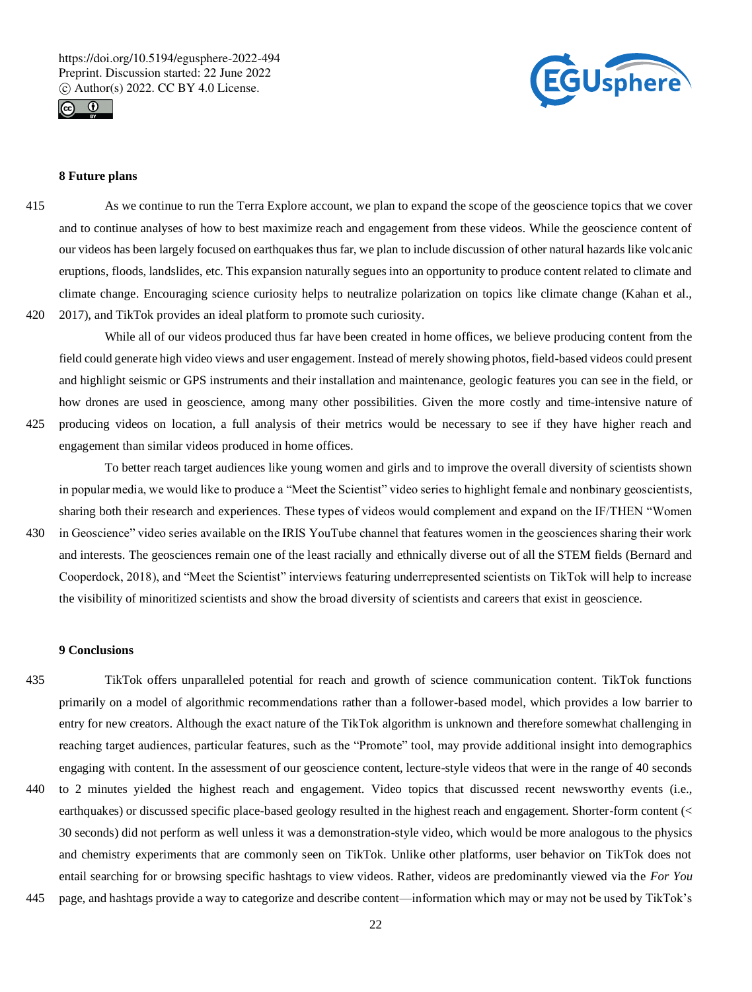



# **8 Future plans**

415 As we continue to run the Terra Explore account, we plan to expand the scope of the geoscience topics that we cover and to continue analyses of how to best maximize reach and engagement from these videos. While the geoscience content of our videos has been largely focused on earthquakes thus far, we plan to include discussion of other natural hazards like volcanic eruptions, floods, landslides, etc. This expansion naturally segues into an opportunity to produce content related to climate and climate change. Encouraging science curiosity helps to neutralize polarization on topics like climate change (Kahan et al., 420 2017), and TikTok provides an ideal platform to promote such curiosity.

While all of our videos produced thus far have been created in home offices, we believe producing content from the field could generate high video views and user engagement. Instead of merely showing photos, field-based videos could present and highlight seismic or GPS instruments and their installation and maintenance, geologic features you can see in the field, or how drones are used in geoscience, among many other possibilities. Given the more costly and time-intensive nature of 425 producing videos on location, a full analysis of their metrics would be necessary to see if they have higher reach and

engagement than similar videos produced in home offices.

To better reach target audiences like young women and girls and to improve the overall diversity of scientists shown in popular media, we would like to produce a "Meet the Scientist" video series to highlight female and nonbinary geoscientists, sharing both their research and experiences. These types of videos would complement and expand on the IF/THEN "Women

430 in Geoscience" video series available on the IRIS YouTube channel that features women in the geosciences sharing their work and interests. The geosciences remain one of the least racially and ethnically diverse out of all the STEM fields (Bernard and Cooperdock, 2018), and "Meet the Scientist" interviews featuring underrepresented scientists on TikTok will help to increase the visibility of minoritized scientists and show the broad diversity of scientists and careers that exist in geoscience.

#### **9 Conclusions**

- 435 TikTok offers unparalleled potential for reach and growth of science communication content. TikTok functions primarily on a model of algorithmic recommendations rather than a follower-based model, which provides a low barrier to entry for new creators. Although the exact nature of the TikTok algorithm is unknown and therefore somewhat challenging in reaching target audiences, particular features, such as the "Promote" tool, may provide additional insight into demographics engaging with content. In the assessment of our geoscience content, lecture-style videos that were in the range of 40 seconds 440 to 2 minutes yielded the highest reach and engagement. Video topics that discussed recent newsworthy events (i.e., earthquakes) or discussed specific place-based geology resulted in the highest reach and engagement. Shorter-form content (< 30 seconds) did not perform as well unless it was a demonstration-style video, which would be more analogous to the physics
- entail searching for or browsing specific hashtags to view videos. Rather, videos are predominantly viewed via the *For You* 445 page, and hashtags provide a way to categorize and describe content—information which may or may not be used by TikTok's

and chemistry experiments that are commonly seen on TikTok. Unlike other platforms, user behavior on TikTok does not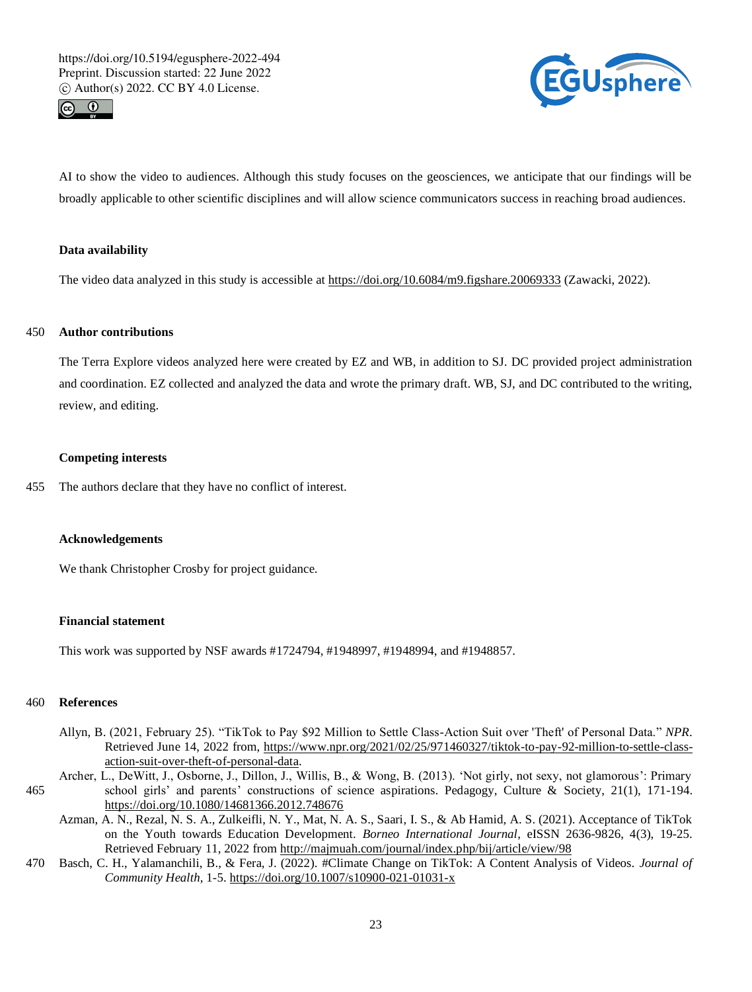



AI to show the video to audiences. Although this study focuses on the geosciences, we anticipate that our findings will be broadly applicable to other scientific disciplines and will allow science communicators success in reaching broad audiences.

## **Data availability**

The video data analyzed in this study is accessible at https://doi.org/10.6084/m9.figshare.20069333 (Zawacki, 2022).

# 450 **Author contributions**

The Terra Explore videos analyzed here were created by EZ and WB, in addition to SJ. DC provided project administration and coordination. EZ collected and analyzed the data and wrote the primary draft. WB, SJ, and DC contributed to the writing, review, and editing.

#### **Competing interests**

455 The authors declare that they have no conflict of interest.

#### **Acknowledgements**

We thank Christopher Crosby for project guidance.

#### **Financial statement**

This work was supported by NSF awards #1724794, #1948997, #1948994, and #1948857.

#### 460 **References**

- Allyn, B. (2021, February 25). "TikTok to Pay \$92 Million to Settle Class-Action Suit over 'Theft' of Personal Data." *NPR*. Retrieved June 14, 2022 from, https://www.npr.org/2021/02/25/971460327/tiktok-to-pay-92-million-to-settle-classaction-suit-over-theft-of-personal-data.
- Archer, L., DeWitt, J., Osborne, J., Dillon, J., Willis, B., & Wong, B. (2013). 'Not girly, not sexy, not glamorous': Primary 465 school girls' and parents' constructions of science aspirations. Pedagogy, Culture & Society, 21(1), 171-194. https://doi.org/10.1080/14681366.2012.748676
	- Azman, A. N., Rezal, N. S. A., Zulkeifli, N. Y., Mat, N. A. S., Saari, I. S., & Ab Hamid, A. S. (2021). Acceptance of TikTok on the Youth towards Education Development. *Borneo International Journal*, eISSN 2636-9826, 4(3), 19-25. Retrieved February 11, 2022 from http://majmuah.com/journal/index.php/bij/article/view/98
- 470 Basch, C. H., Yalamanchili, B., & Fera, J. (2022). #Climate Change on TikTok: A Content Analysis of Videos. *Journal of Community Health*, 1-5. https://doi.org/10.1007/s10900-021-01031-x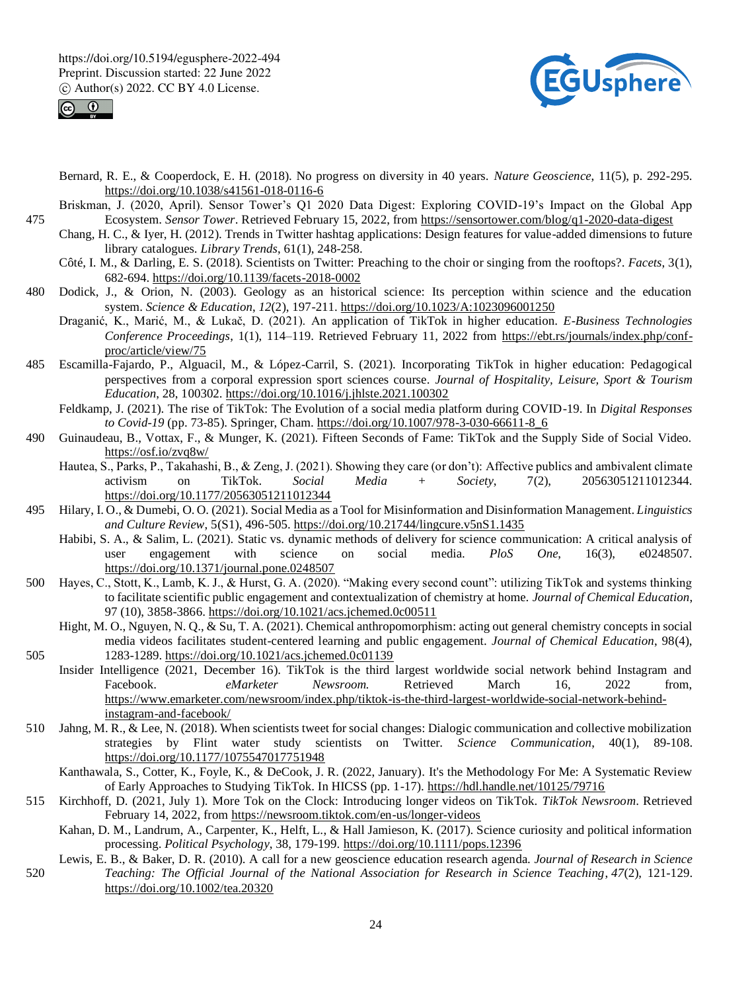



- Bernard, R. E., & Cooperdock, E. H. (2018). No progress on diversity in 40 years. *Nature Geoscience*, 11(5), p. 292-295. https://doi.org/10.1038/s41561-018-0116-6
- Briskman, J. (2020, April). Sensor Tower's Q1 2020 Data Digest: Exploring COVID-19's Impact on the Global App 475 Ecosystem. *Sensor Tower*. Retrieved February 15, 2022, from https://sensortower.com/blog/q1-2020-data-digest
	- Chang, H. C., & Iyer, H. (2012). Trends in Twitter hashtag applications: Design features for value-added dimensions to future library catalogues. *Library Trends*, 61(1), 248-258.
	- Côté, I. M., & Darling, E. S. (2018). Scientists on Twitter: Preaching to the choir or singing from the rooftops?. *Facets*, 3(1), 682-694. https://doi.org/10.1139/facets-2018-0002
- 480 Dodick, J., & Orion, N. (2003). Geology as an historical science: Its perception within science and the education system. *Science & Education*, *12*(2), 197-211. https://doi.org/10.1023/A:1023096001250
	- Draganić, K., Marić, M., & Lukač, D. (2021). An application of TikTok in higher education. *E-Business Technologies Conference Proceedings*, 1(1), 114–119. Retrieved February 11, 2022 from https://ebt.rs/journals/index.php/confproc/article/view/75
- 485 Escamilla-Fajardo, P., Alguacil, M., & López-Carril, S. (2021). Incorporating TikTok in higher education: Pedagogical perspectives from a corporal expression sport sciences course. *Journal of Hospitality, Leisure, Sport & Tourism Education*, 28, 100302. https://doi.org/10.1016/j.jhlste.2021.100302
	- Feldkamp, J. (2021). The rise of TikTok: The Evolution of a social media platform during COVID-19. In *Digital Responses to Covid-19* (pp. 73-85). Springer, Cham. https://doi.org/10.1007/978-3-030-66611-8\_6
- 490 Guinaudeau, B., Vottax, F., & Munger, K. (2021). Fifteen Seconds of Fame: TikTok and the Supply Side of Social Video. https://osf.io/zvq8w/
	- Hautea, S., Parks, P., Takahashi, B., & Zeng, J. (2021). Showing they care (or don't): Affective publics and ambivalent climate activism on TikTok. *Social Media + Society*, 7(2), 20563051211012344. https://doi.org/10.1177/20563051211012344
- 495 Hilary, I. O., & Dumebi, O. O. (2021). Social Media as a Tool for Misinformation and Disinformation Management. *Linguistics and Culture Review*, 5(S1), 496-505. https://doi.org/10.21744/lingcure.v5nS1.1435
	- Habibi, S. A., & Salim, L. (2021). Static vs. dynamic methods of delivery for science communication: A critical analysis of user engagement with science on social media. *PloS One*, 16(3), e0248507. https://doi.org/10.1371/journal.pone.0248507
- 500 Hayes, C., Stott, K., Lamb, K. J., & Hurst, G. A. (2020). "Making every second count": utilizing TikTok and systems thinking to facilitate scientific public engagement and contextualization of chemistry at home. *Journal of Chemical Education*, 97 (10), 3858-3866. https://doi.org/10.1021/acs.jchemed.0c00511
- Hight, M. O., Nguyen, N. Q., & Su, T. A. (2021). Chemical anthropomorphism: acting out general chemistry concepts in social media videos facilitates student-centered learning and public engagement. *Journal of Chemical Education*, 98(4), 505 1283-1289. https://doi.org/10.1021/acs.jchemed.0c01139
- Insider Intelligence (2021, December 16). TikTok is the third largest worldwide social network behind Instagram and Facebook. *eMarketer Newsroom.* Retrieved March 16, 2022 from, https://www.emarketer.com/newsroom/index.php/tiktok-is-the-third-largest-worldwide-social-network-behindinstagram-and-facebook/
- 510 Jahng, M. R., & Lee, N. (2018). When scientists tweet for social changes: Dialogic communication and collective mobilization strategies by Flint water study scientists on Twitter. *Science Communication*, 40(1), 89-108. https://doi.org/10.1177/1075547017751948
	- Kanthawala, S., Cotter, K., Foyle, K., & DeCook, J. R. (2022, January). It's the Methodology For Me: A Systematic Review of Early Approaches to Studying TikTok. In HICSS (pp. 1-17). https://hdl.handle.net/10125/79716
- 515 Kirchhoff, D. (2021, July 1). More Tok on the Clock: Introducing longer videos on TikTok. *TikTok Newsroom*. Retrieved February 14, 2022, from https://newsroom.tiktok.com/en-us/longer-videos
	- Kahan, D. M., Landrum, A., Carpenter, K., Helft, L., & Hall Jamieson, K. (2017). Science curiosity and political information processing. *Political Psychology*, 38, 179-199. https://doi.org/10.1111/pops.12396
- Lewis, E. B., & Baker, D. R. (2010). A call for a new geoscience education research agenda. *Journal of Research in Science*  520 *Teaching: The Official Journal of the National Association for Research in Science Teaching*, *47*(2), 121-129. https://doi.org/10.1002/tea.20320